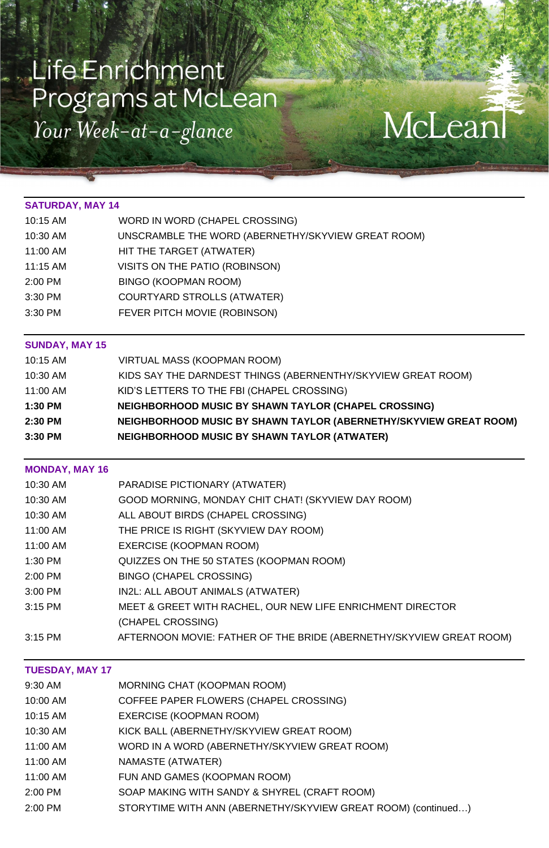# Life Enrichment Programs at McLean Your Week-at-a-glance

#### **SATURDAY, MAY 14**

| 10:15 AM | WORD IN WORD (CHAPEL CROSSING)                     |
|----------|----------------------------------------------------|
| 10:30 AM | UNSCRAMBLE THE WORD (ABERNETHY/SKYVIEW GREAT ROOM) |
| 11:00 AM | HIT THE TARGET (ATWATER)                           |
| 11:15 AM | VISITS ON THE PATIO (ROBINSON)                     |
| 2:00 PM  | <b>BINGO (KOOPMAN ROOM)</b>                        |
| 3:30 PM  | <b>COURTYARD STROLLS (ATWATER)</b>                 |
| 3:30 PM  | FEVER PITCH MOVIE (ROBINSON)                       |

#### **SUNDAY, MAY 15**

| 10:15 AM | <b>VIRTUAL MASS (KOOPMAN ROOM)</b>                                |
|----------|-------------------------------------------------------------------|
| 10:30 AM | KIDS SAY THE DARNDEST THINGS (ABERNENTHY/SKYVIEW GREAT ROOM)      |
| 11:00 AM | KID'S LETTERS TO THE FBI (CHAPEL CROSSING)                        |
| 1:30 PM  | NEIGHBORHOOD MUSIC BY SHAWN TAYLOR (CHAPEL CROSSING)              |
| 2:30 PM  | NEIGHBORHOOD MUSIC BY SHAWN TAYLOR (ABERNETHY/SKYVIEW GREAT ROOM) |
| 3:30 PM  | NEIGHBORHOOD MUSIC BY SHAWN TAYLOR (ATWATER)                      |

McLean

#### **MONDAY, MAY 16**

| 10:30 AM | <b>PARADISE PICTIONARY (ATWATER)</b>                       |
|----------|------------------------------------------------------------|
| 10:30 AM | GOOD MORNING, MONDAY CHIT CHAT! (SKYVIEW DAY ROOM)         |
| 10:30 AM | ALL ABOUT BIRDS (CHAPEL CROSSING)                          |
| 11:00 AM | THE PRICE IS RIGHT (SKYVIEW DAY ROOM)                      |
| 11:00 AM | EXERCISE (KOOPMAN ROOM)                                    |
| 1:30 PM  | QUIZZES ON THE 50 STATES (KOOPMAN ROOM)                    |
| 2:00 PM  | <b>BINGO (CHAPEL CROSSING)</b>                             |
| 3:00 PM  | IN2L: ALL ABOUT ANIMALS (ATWATER)                          |
| 3:15 PM  | MEET & GREET WITH RACHEL, OUR NEW LIFE ENRICHMENT DIRECTOR |
|          | <i>ICHADEL CROSSING)</i>                                   |

#### 3:15 PM AFTERNOON MOVIE: FATHER OF THE BRIDE (ABERNETHY/SKYVIEW GREAT ROOM)

#### **TUESDAY, MAY 17**

- 9:30 AM MORNING CHAT (KOOPMAN ROOM)
- 10:00 AM COFFEE PAPER FLOWERS (CHAPEL CROSSING)
- 10:15 AM EXERCISE (KOOPMAN ROOM)
- 10:30 AM KICK BALL (ABERNETHY/SKYVIEW GREAT ROOM)
- 11:00 AM WORD IN A WORD (ABERNETHY/SKYVIEW GREAT ROOM)
- 11:00 AM **NAMASTE** (ATWATER)
- 11:00 AM FUN AND GAMES (KOOPMAN ROOM)
- 2:00 PM SOAP MAKING WITH SANDY & SHYREL (CRAFT ROOM)
- 2:00 PM STORYTIME WITH ANN (ABERNETHY/SKYVIEW GREAT ROOM) (continued…)